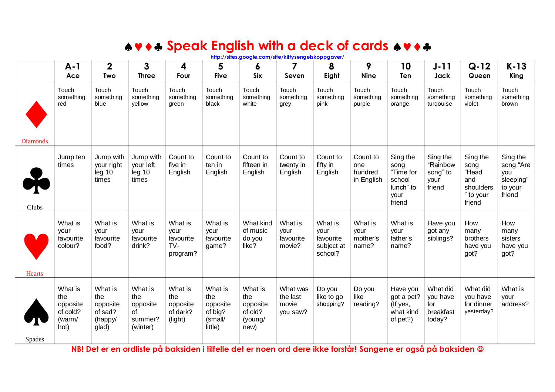## **AV + + Speak English with a deck of cards**  $A \cdot A$

|                 | $A-1$                                                    | $\mathbf{2}$                                              | 3                                                       | 4                                                 | 5                                                           | 6                                                        | 7                                         | 8                                                     | 9                                        | 10                                                                     | $J-11$                                             | $Q-12$                                                               | $K-13$                                                         |
|-----------------|----------------------------------------------------------|-----------------------------------------------------------|---------------------------------------------------------|---------------------------------------------------|-------------------------------------------------------------|----------------------------------------------------------|-------------------------------------------|-------------------------------------------------------|------------------------------------------|------------------------------------------------------------------------|----------------------------------------------------|----------------------------------------------------------------------|----------------------------------------------------------------|
|                 | Ace                                                      | <b>Two</b>                                                | <b>Three</b>                                            | Four                                              | <b>Five</b>                                                 | <b>Six</b>                                               | Seven                                     | Eight                                                 | <b>Nine</b>                              | Ten                                                                    | Jack                                               | Queen                                                                | King                                                           |
|                 | Touch<br>something<br>red                                | Touch<br>something<br>blue                                | Touch<br>something<br>vellow                            | Touch<br>something<br>green                       | Touch<br>something<br>black                                 | Touch<br>something<br>white                              | Touch<br>something<br>grey                | Touch<br>something<br>pink                            | Touch<br>something<br>purple             | Touch<br>something<br>orange                                           | Touch<br>something<br>turgouise                    | Touch<br>something<br>violet                                         | Touch<br>something<br>brown                                    |
| <b>Diamonds</b> |                                                          |                                                           |                                                         |                                                   |                                                             |                                                          |                                           |                                                       |                                          |                                                                        |                                                    |                                                                      |                                                                |
| Clubs           | Jump ten<br>times                                        | Jump with<br>your right<br>leg <sub>10</sub><br>times     | Jump with<br>your left<br>leg <sub>10</sub><br>times    | Count to<br>five in<br>English                    | Count to<br>ten in<br>English                               | Count to<br>fifteen in<br>English                        | Count to<br>twenty in<br>English          | Count to<br>fifty in<br>English                       | Count to<br>one<br>hundred<br>in English | Sing the<br>song<br>"Time for<br>school<br>lunch" to<br>your<br>friend | Sing the<br>"Rainbow<br>song" to<br>your<br>friend | Sing the<br>song<br>"Head<br>and<br>shoulders<br>" to your<br>friend | Sing the<br>song "Are<br>you<br>sleeping"<br>to your<br>friend |
| <b>Hearts</b>   | What is<br>your<br>favourite<br>colour?                  | What is<br>your<br>favourite<br>food?                     | What is<br>vour<br>favourite<br>drink?                  | What is<br>your<br>favourite<br>$TV-$<br>program? | What is<br>your<br>favourite<br>game?                       | What kind<br>of music<br>do you<br>like?                 | What is<br>your<br>favourite<br>movie?    | What is<br>your<br>favourite<br>subject at<br>school? | What is<br>vour<br>mother's<br>name?     | What is<br>your<br>father's<br>name?                                   | Have you<br>got any<br>siblings?                   | How<br>many<br><b>brothers</b><br>have you<br>got?                   | How<br>many<br>sisters<br>have you<br>got?                     |
| Spades          | What is<br>the<br>opposite<br>of cold?<br>(warm/<br>hot) | What is<br>the<br>opposite<br>of sad?<br>(happy/<br>glad) | What is<br>the<br>opposite<br>of<br>summer?<br>(winter) | What is<br>the<br>opposite<br>of dark?<br>(light) | What is<br>the<br>opposite<br>of big?<br>(small/<br>little) | What is<br>the<br>opposite<br>of old?<br>(young/<br>new) | What was<br>the last<br>movie<br>you saw? | Do you<br>like to go<br>shopping?                     | Do you<br>like<br>reading?               | Have you<br>got a pet?<br>(If yes,<br>what kind<br>of pet?)            | What did<br>you have<br>for<br>breakfast<br>today? | What did<br>you have<br>for dinner<br>yesterday?                     | What is<br>your<br>address?                                    |

**http://sites.google.com/site/kittysengelskoppgaver/**

**NB! Det er en ordliste på baksiden i tilfelle det er noen ord dere ikke forstår! Sangene er også på baksiden**